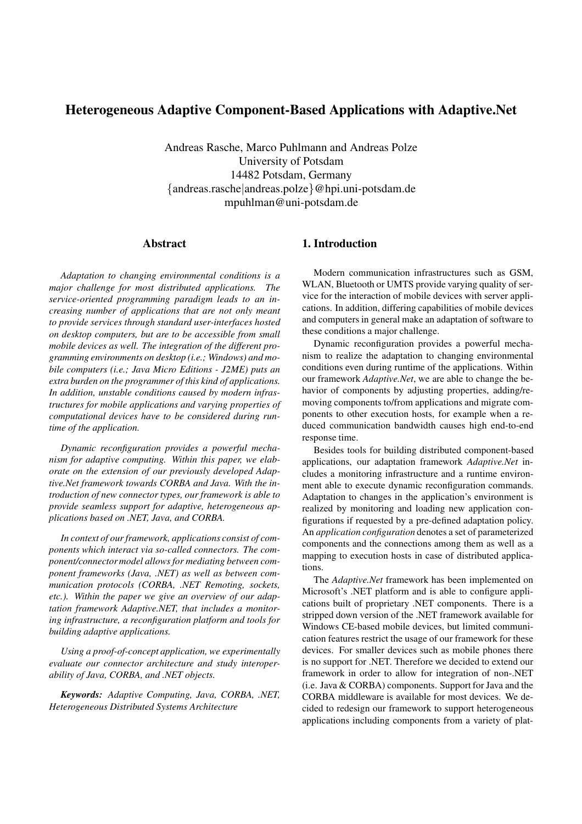# **Heterogeneous Adaptive Component-Based Applications with Adaptive.Net**

Andreas Rasche, Marco Puhlmann and Andreas Polze University of Potsdam 14482 Potsdam, Germany {andreas.rasche|andreas.polze}@hpi.uni-potsdam.de mpuhlman@uni-potsdam.de

# **Abstract**

*Adaptation to changing environmental conditions is a major challenge for most distributed applications. The service-oriented programming paradigm leads to an increasing number of applications that are not only meant to provide services through standard user-interfaces hosted on desktop computers, but are to be accessible from small mobile devices as well. The integration of the different programming environments on desktop (i.e.; Windows) and mobile computers (i.e.; Java Micro Editions - J2ME) puts an extra burden on the programmer of this kind of applications. In addition, unstable conditions caused by modern infrastructures for mobile applications and varying properties of computational devices have to be considered during runtime of the application.*

*Dynamic reconfiguration provides a powerful mechanism for adaptive computing. Within this paper, we elaborate on the extension of our previously developed Adaptive.Net framework towards CORBA and Java. With the introduction of new connector types, our framework is able to provide seamless support for adaptive, heterogeneous applications based on .NET, Java, and CORBA.*

*In context of our framework, applications consist of components which interact via so-called connectors. The component/connector model allows for mediating between component frameworks (Java, .NET) as well as between communication protocols (CORBA, .NET Remoting, sockets, etc.). Within the paper we give an overview of our adaptation framework Adaptive.NET, that includes a monitoring infrastructure, a reconfiguration platform and tools for building adaptive applications.*

*Using a proof-of-concept application, we experimentally evaluate our connector architecture and study interoperability of Java, CORBA, and .NET objects.*

*Keywords: Adaptive Computing, Java, CORBA, .NET, Heterogeneous Distributed Systems Architecture*

# **1. Introduction**

Modern communication infrastructures such as GSM, WLAN, Bluetooth or UMTS provide varying quality of service for the interaction of mobile devices with server applications. In addition, differing capabilities of mobile devices and computers in general make an adaptation of software to these conditions a major challenge.

Dynamic reconfiguration provides a powerful mechanism to realize the adaptation to changing environmental conditions even during runtime of the applications. Within our framework *Adaptive.Net*, we are able to change the behavior of components by adjusting properties, adding/removing components to/from applications and migrate components to other execution hosts, for example when a reduced communication bandwidth causes high end-to-end response time.

Besides tools for building distributed component-based applications, our adaptation framework *Adaptive.Net* includes a monitoring infrastructure and a runtime environment able to execute dynamic reconfiguration commands. Adaptation to changes in the application's environment is realized by monitoring and loading new application configurations if requested by a pre-defined adaptation policy. An *application configuration* denotes a set of parameterized components and the connections among them as well as a mapping to execution hosts in case of distributed applications.

The *Adaptive.Net* framework has been implemented on Microsoft's .NET platform and is able to configure applications built of proprietary .NET components. There is a stripped down version of the .NET framework available for Windows CE-based mobile devices, but limited communication features restrict the usage of our framework for these devices. For smaller devices such as mobile phones there is no support for .NET. Therefore we decided to extend our framework in order to allow for integration of non-.NET (i.e. Java & CORBA) components. Support for Java and the CORBA middleware is available for most devices. We decided to redesign our framework to support heterogeneous applications including components from a variety of plat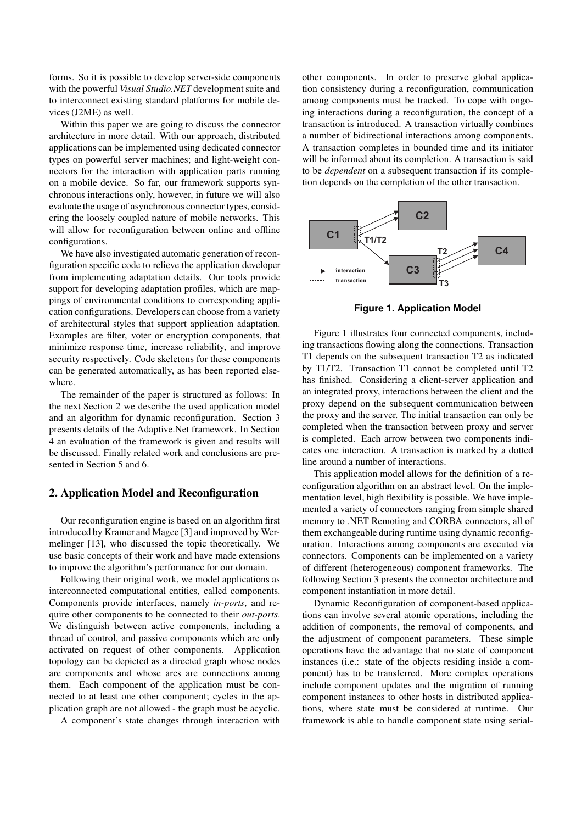forms. So it is possible to develop server-side components with the powerful *Visual Studio.NET* development suite and to interconnect existing standard platforms for mobile devices (J2ME) as well.

Within this paper we are going to discuss the connector architecture in more detail. With our approach, distributed applications can be implemented using dedicated connector types on powerful server machines; and light-weight connectors for the interaction with application parts running on a mobile device. So far, our framework supports synchronous interactions only, however, in future we will also evaluate the usage of asynchronous connector types, considering the loosely coupled nature of mobile networks. This will allow for reconfiguration between online and offline configurations.

We have also investigated automatic generation of reconfiguration specific code to relieve the application developer from implementing adaptation details. Our tools provide support for developing adaptation profiles, which are mappings of environmental conditions to corresponding application configurations. Developers can choose from a variety of architectural styles that support application adaptation. Examples are filter, voter or encryption components, that minimize response time, increase reliability, and improve security respectively. Code skeletons for these components can be generated automatically, as has been reported elsewhere.

The remainder of the paper is structured as follows: In the next Section 2 we describe the used application model and an algorithm for dynamic reconfiguration. Section 3 presents details of the Adaptive.Net framework. In Section 4 an evaluation of the framework is given and results will be discussed. Finally related work and conclusions are presented in Section 5 and 6.

# **2. Application Model and Reconfiguration**

Our reconfiguration engine is based on an algorithm first introduced by Kramer and Magee [3] and improved by Wermelinger [13], who discussed the topic theoretically. We use basic concepts of their work and have made extensions to improve the algorithm's performance for our domain.

Following their original work, we model applications as interconnected computational entities, called components. Components provide interfaces, namely *in-ports*, and require other components to be connected to their *out-ports*. We distinguish between active components, including a thread of control, and passive components which are only activated on request of other components. Application topology can be depicted as a directed graph whose nodes are components and whose arcs are connections among them. Each component of the application must be connected to at least one other component; cycles in the application graph are not allowed - the graph must be acyclic.

A component's state changes through interaction with

other components. In order to preserve global application consistency during a reconfiguration, communication among components must be tracked. To cope with ongoing interactions during a reconfiguration, the concept of a transaction is introduced. A transaction virtually combines a number of bidirectional interactions among components. A transaction completes in bounded time and its initiator will be informed about its completion. A transaction is said to be *dependent* on a subsequent transaction if its completion depends on the completion of the other transaction.



**Figure 1. Application Model**

Figure 1 illustrates four connected components, including transactions flowing along the connections. Transaction T1 depends on the subsequent transaction T2 as indicated by T1/T2. Transaction T1 cannot be completed until T2 has finished. Considering a client-server application and an integrated proxy, interactions between the client and the proxy depend on the subsequent communication between the proxy and the server. The initial transaction can only be completed when the transaction between proxy and server is completed. Each arrow between two components indicates one interaction. A transaction is marked by a dotted line around a number of interactions.

This application model allows for the definition of a reconfiguration algorithm on an abstract level. On the implementation level, high flexibility is possible. We have implemented a variety of connectors ranging from simple shared memory to .NET Remoting and CORBA connectors, all of them exchangeable during runtime using dynamic reconfiguration. Interactions among components are executed via connectors. Components can be implemented on a variety of different (heterogeneous) component frameworks. The following Section 3 presents the connector architecture and component instantiation in more detail.

Dynamic Reconfiguration of component-based applications can involve several atomic operations, including the addition of components, the removal of components, and the adjustment of component parameters. These simple operations have the advantage that no state of component instances (i.e.: state of the objects residing inside a component) has to be transferred. More complex operations include component updates and the migration of running component instances to other hosts in distributed applications, where state must be considered at runtime. Our framework is able to handle component state using serial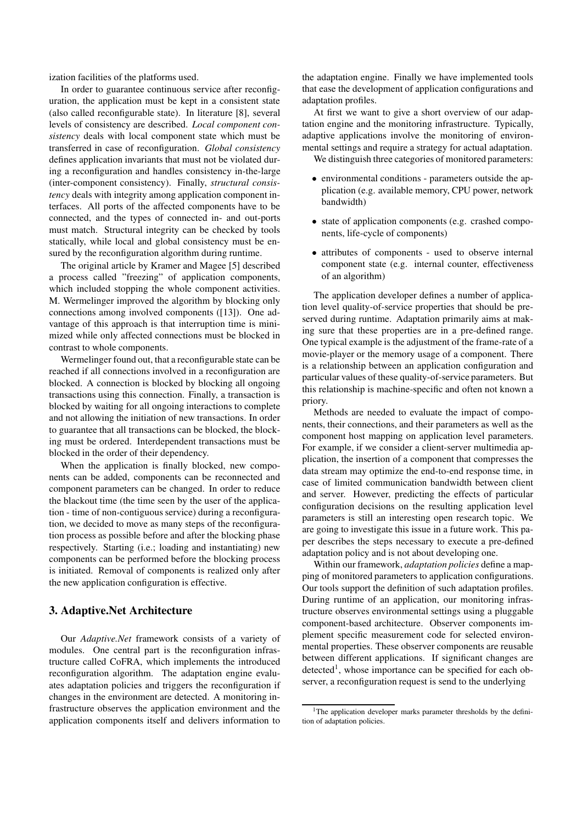ization facilities of the platforms used.

In order to guarantee continuous service after reconfiguration, the application must be kept in a consistent state (also called reconfigurable state). In literature [8], several levels of consistency are described. *Local component consistency* deals with local component state which must be transferred in case of reconfiguration. *Global consistency* defines application invariants that must not be violated during a reconfiguration and handles consistency in-the-large (inter-component consistency). Finally, *structural consistency* deals with integrity among application component interfaces. All ports of the affected components have to be connected, and the types of connected in- and out-ports must match. Structural integrity can be checked by tools statically, while local and global consistency must be ensured by the reconfiguration algorithm during runtime.

The original article by Kramer and Magee [5] described a process called "freezing" of application components, which included stopping the whole component activities. M. Wermelinger improved the algorithm by blocking only connections among involved components ([13]). One advantage of this approach is that interruption time is minimized while only affected connections must be blocked in contrast to whole components.

Wermelinger found out, that a reconfigurable state can be reached if all connections involved in a reconfiguration are blocked. A connection is blocked by blocking all ongoing transactions using this connection. Finally, a transaction is blocked by waiting for all ongoing interactions to complete and not allowing the initiation of new transactions. In order to guarantee that all transactions can be blocked, the blocking must be ordered. Interdependent transactions must be blocked in the order of their dependency.

When the application is finally blocked, new components can be added, components can be reconnected and component parameters can be changed. In order to reduce the blackout time (the time seen by the user of the application - time of non-contiguous service) during a reconfiguration, we decided to move as many steps of the reconfiguration process as possible before and after the blocking phase respectively. Starting (i.e.; loading and instantiating) new components can be performed before the blocking process is initiated. Removal of components is realized only after the new application configuration is effective.

## **3. Adaptive.Net Architecture**

Our *Adaptive.Net* framework consists of a variety of modules. One central part is the reconfiguration infrastructure called CoFRA, which implements the introduced reconfiguration algorithm. The adaptation engine evaluates adaptation policies and triggers the reconfiguration if changes in the environment are detected. A monitoring infrastructure observes the application environment and the application components itself and delivers information to the adaptation engine. Finally we have implemented tools that ease the development of application configurations and adaptation profiles.

At first we want to give a short overview of our adaptation engine and the monitoring infrastructure. Typically, adaptive applications involve the monitoring of environmental settings and require a strategy for actual adaptation.

We distinguish three categories of monitored parameters:

- environmental conditions parameters outside the application (e.g. available memory, CPU power, network bandwidth)
- state of application components (e.g. crashed components, life-cycle of components)
- attributes of components used to observe internal component state (e.g. internal counter, effectiveness of an algorithm)

The application developer defines a number of application level quality-of-service properties that should be preserved during runtime. Adaptation primarily aims at making sure that these properties are in a pre-defined range. One typical example is the adjustment of the frame-rate of a movie-player or the memory usage of a component. There is a relationship between an application configuration and particular values of these quality-of-service parameters. But this relationship is machine-specific and often not known a priory.

Methods are needed to evaluate the impact of components, their connections, and their parameters as well as the component host mapping on application level parameters. For example, if we consider a client-server multimedia application, the insertion of a component that compresses the data stream may optimize the end-to-end response time, in case of limited communication bandwidth between client and server. However, predicting the effects of particular configuration decisions on the resulting application level parameters is still an interesting open research topic. We are going to investigate this issue in a future work. This paper describes the steps necessary to execute a pre-defined adaptation policy and is not about developing one.

Within our framework, *adaptation policies* define a mapping of monitored parameters to application configurations. Our tools support the definition of such adaptation profiles. During runtime of an application, our monitoring infrastructure observes environmental settings using a pluggable component-based architecture. Observer components implement specific measurement code for selected environmental properties. These observer components are reusable between different applications. If significant changes are detected<sup>1</sup>, whose importance can be specified for each observer, a reconfiguration request is send to the underlying

<sup>&</sup>lt;sup>1</sup>The application developer marks parameter thresholds by the definition of adaptation policies.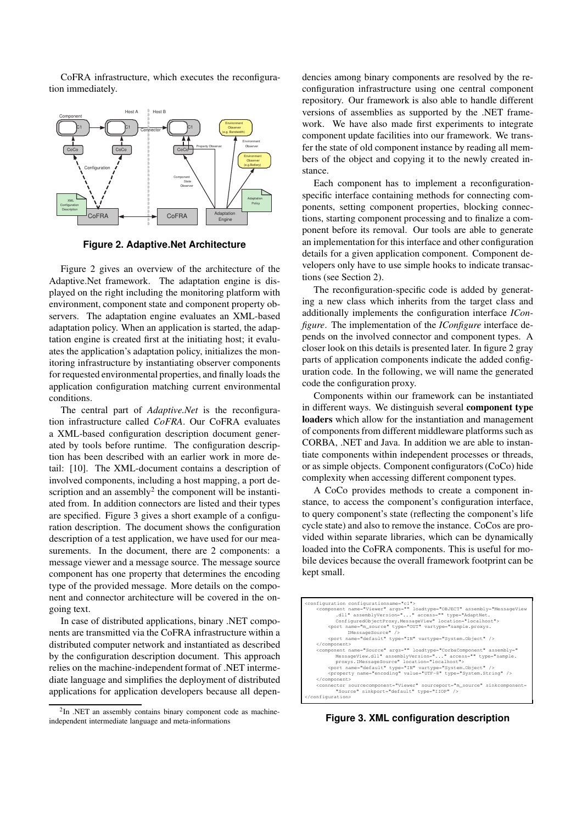CoFRA infrastructure, which executes the reconfiguration immediately.



**Figure 2. Adaptive.Net Architecture**

Figure 2 gives an overview of the architecture of the Adaptive.Net framework. The adaptation engine is displayed on the right including the monitoring platform with environment, component state and component property observers. The adaptation engine evaluates an XML-based adaptation policy. When an application is started, the adaptation engine is created first at the initiating host; it evaluates the application's adaptation policy, initializes the monitoring infrastructure by instantiating observer components for requested environmental properties, and finally loads the application configuration matching current environmental conditions.

The central part of *Adaptive.Net* is the reconfiguration infrastructure called *CoFRA*. Our CoFRA evaluates a XML-based configuration description document generated by tools before runtime. The configuration description has been described with an earlier work in more detail: [10]. The XML-document contains a description of involved components, including a host mapping, a port description and an assembly<sup>2</sup> the component will be instantiated from. In addition connectors are listed and their types are specified. Figure 3 gives a short example of a configuration description. The document shows the configuration description of a test application, we have used for our measurements. In the document, there are 2 components: a message viewer and a message source. The message source component has one property that determines the encoding type of the provided message. More details on the component and connector architecture will be covered in the ongoing text.

In case of distributed applications, binary .NET components are transmitted via the CoFRA infrastructure within a distributed computer network and instantiated as described by the configuration description document. This approach relies on the machine-independent format of .NET intermediate language and simplifies the deployment of distributed applications for application developers because all dependencies among binary components are resolved by the reconfiguration infrastructure using one central component repository. Our framework is also able to handle different versions of assemblies as supported by the .NET framework. We have also made first experiments to integrate component update facilities into our framework. We transfer the state of old component instance by reading all members of the object and copying it to the newly created instance.

Each component has to implement a reconfigurationspecific interface containing methods for connecting components, setting component properties, blocking connections, starting component processing and to finalize a component before its removal. Our tools are able to generate an implementation for this interface and other configuration details for a given application component. Component developers only have to use simple hooks to indicate transactions (see Section 2).

The reconfiguration-specific code is added by generating a new class which inherits from the target class and additionally implements the configuration interface *IConfigure*. The implementation of the *IConfigure* interface depends on the involved connector and component types. A closer look on this details is presented later. In figure 2 gray parts of application components indicate the added configuration code. In the following, we will name the generated code the configuration proxy.

Components within our framework can be instantiated in different ways. We distinguish several **component type loaders** which allow for the instantiation and management of components from different middleware platforms such as CORBA, .NET and Java. In addition we are able to instantiate components within independent processes or threads, or as simple objects. Component configurators (CoCo) hide complexity when accessing different component types.

A CoCo provides methods to create a component instance, to access the component's configuration interface, to query component's state (reflecting the component's life cycle state) and also to remove the instance. CoCos are provided within separate libraries, which can be dynamically loaded into the CoFRA components. This is useful for mobile devices because the overall framework footprint can be kept small.

| <configuration configurationname="cl"></configuration>                                                                                                                                                                                                                             |
|------------------------------------------------------------------------------------------------------------------------------------------------------------------------------------------------------------------------------------------------------------------------------------|
| <component access="" args="" assembly="MessageView&lt;/th&gt;&lt;/tr&gt;&lt;tr&gt;&lt;th&gt;.dll" assemblyversion="" loadtype="OBJECT" location="localhost" name="Viewer" type="AdaptNet.&lt;/th&gt;&lt;/tr&gt;&lt;tr&gt;&lt;th&gt;ConfiguredObjectProxy.MessageView"></component> |
| <port name="m source" type="OUT" vartype="sample.proxys.&lt;/th&gt;&lt;/tr&gt;&lt;tr&gt;&lt;th&gt;IMessageSource"></port>                                                                                                                                                          |
| <port name="default" type="IN" vartype="System.Object"></port>                                                                                                                                                                                                                     |
|                                                                                                                                                                                                                                                                                    |
| <component access="" args="" assembly="&lt;/th&gt;&lt;/tr&gt;&lt;tr&gt;&lt;th&gt;MessageView.dll" assemblyversion="" loadtype="CorbaComponent" location="localhost" name="Source" type="sample.&lt;/th&gt;&lt;/tr&gt;&lt;tr&gt;&lt;th&gt;proxys. IMessageSource"></component>      |
| <port name="default" type="IN" vartype="System.Object"></port>                                                                                                                                                                                                                     |
| <property name="encoding" type="System.String" value="UTF-8"></property>                                                                                                                                                                                                           |
|                                                                                                                                                                                                                                                                                    |
| <connector sinkcomponent="&lt;/th" sourcecomponent="Viewer" sourceport="m source"></connector>                                                                                                                                                                                     |
| "Source" sinkport="default" type="IIOP" />                                                                                                                                                                                                                                         |
|                                                                                                                                                                                                                                                                                    |
|                                                                                                                                                                                                                                                                                    |

**Figure 3. XML configuration description**

<sup>&</sup>lt;sup>2</sup>In .NET an assembly contains binary component code as machineindependent intermediate language and meta-informations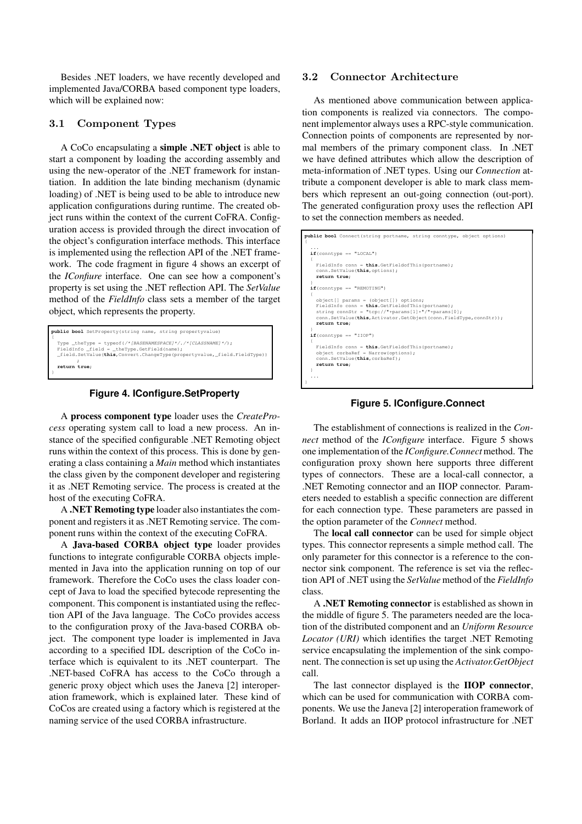Besides .NET loaders, we have recently developed and implemented Java/CORBA based component type loaders, which will be explained now:

### 3.1 Component Types

A CoCo encapsulating a **simple .NET object** is able to start a component by loading the according assembly and using the new-operator of the .NET framework for instantiation. In addition the late binding mechanism (dynamic loading) of .NET is being used to be able to introduce new application configurations during runtime. The created object runs within the context of the current CoFRA. Configuration access is provided through the direct invocation of the object's configuration interface methods. This interface is implemented using the reflection API of the .NET framework. The code fragment in figure 4 shows an excerpt of the *IConfiure* interface. One can see how a component's property is set using the .NET reflection API. The *SetValue* method of the *FieldInfo* class sets a member of the target object, which represents the property.

| public bool SetProperty(string name, string propertyvalue)                                                                                                                          |
|-------------------------------------------------------------------------------------------------------------------------------------------------------------------------------------|
| Type theType = typeof(/*/BASENAMESPACE]*/./*/CLASSNAME]*/);<br>FieldInfo field = theType.GetField(name);<br>field.SetValue(this,Convert.ChangeType(propertyvalue, field.FieldType)) |
| return true:                                                                                                                                                                        |

# **Figure 4. IConfigure.SetProperty**

A **process component type** loader uses the *CreateProcess* operating system call to load a new process. An instance of the specified configurable .NET Remoting object runs within the context of this process. This is done by generating a class containing a *Main* method which instantiates the class given by the component developer and registering it as .NET Remoting service. The process is created at the host of the executing CoFRA.

A **.NET Remoting type** loader also instantiates the component and registers it as .NET Remoting service. The component runs within the context of the executing CoFRA.

A **Java-based CORBA object type** loader provides functions to integrate configurable CORBA objects implemented in Java into the application running on top of our framework. Therefore the CoCo uses the class loader concept of Java to load the specified bytecode representing the component. This component is instantiated using the reflection API of the Java language. The CoCo provides access to the configuration proxy of the Java-based CORBA object. The component type loader is implemented in Java according to a specified IDL description of the CoCo interface which is equivalent to its .NET counterpart. The .NET-based CoFRA has access to the CoCo through a generic proxy object which uses the Janeva [2] interoperation framework, which is explained later. These kind of CoCos are created using a factory which is registered at the naming service of the used CORBA infrastructure.

#### 3.2 Connector Architecture

As mentioned above communication between application components is realized via connectors. The component implementor always uses a RPC-style communication. Connection points of components are represented by normal members of the primary component class. In .NET we have defined attributes which allow the description of meta-information of .NET types. Using our *Connection* attribute a component developer is able to mark class members which represent an out-going connection (out-port). The generated configuration proxy uses the reflection API to set the connection members as needed.

| public bool Connect (string portname, string conntype, object options)                                                                                                                                                                  |
|-----------------------------------------------------------------------------------------------------------------------------------------------------------------------------------------------------------------------------------------|
| .<br>$if$ (conntype == "LOCAL")                                                                                                                                                                                                         |
| FieldInfo conn = this.GetFieldofThis(portname);<br>conn. SetValue (this, options);<br>return true:                                                                                                                                      |
|                                                                                                                                                                                                                                         |
| $if$ (conntype == "REMOTING")                                                                                                                                                                                                           |
|                                                                                                                                                                                                                                         |
| $object[]$ params = $(object[])$ options;<br>FieldInfo conn = this.GetFieldofThis(portname);<br>string connStr = "tcp://"+params[1]+"/"+params[0];<br>conn.SetValue(this, Activator.GetObject(conn.FieldType,connStr));<br>return true: |
|                                                                                                                                                                                                                                         |
| $if$ (conntype == "IIOP")                                                                                                                                                                                                               |
|                                                                                                                                                                                                                                         |
| FieldInfo conn = this.GetFieldofThis(portname);                                                                                                                                                                                         |
| object corbaRef = Narrow(options);                                                                                                                                                                                                      |
| conn. SetValue (this, corbaRef);                                                                                                                                                                                                        |
| return true:                                                                                                                                                                                                                            |
|                                                                                                                                                                                                                                         |
|                                                                                                                                                                                                                                         |

# **Figure 5. IConfigure.Connect**

The establishment of connections is realized in the *Connect* method of the *IConfigure* interface. Figure 5 shows one implementation of the *IConfigure.Connect*method. The configuration proxy shown here supports three different types of connectors. These are a local-call connector, a .NET Remoting connector and an IIOP connector. Parameters needed to establish a specific connection are different for each connection type. These parameters are passed in the option parameter of the *Connect* method.

The **local call connector** can be used for simple object types. This connector represents a simple method call. The only parameter for this connector is a reference to the connector sink component. The reference is set via the reflection API of .NET using the *SetValue* method of the *FieldInfo* class.

A **.NET Remoting connector** is established as shown in the middle of figure 5. The parameters needed are the location of the distributed component and an *Uniform Resource Locator (URI)* which identifies the target .NET Remoting service encapsulating the implemention of the sink component. The connection is set up using the *Activator.GetObject* call.

The last connector displayed is the **IIOP connector**, which can be used for communication with CORBA components. We use the Janeva [2] interoperation framework of Borland. It adds an IIOP protocol infrastructure for .NET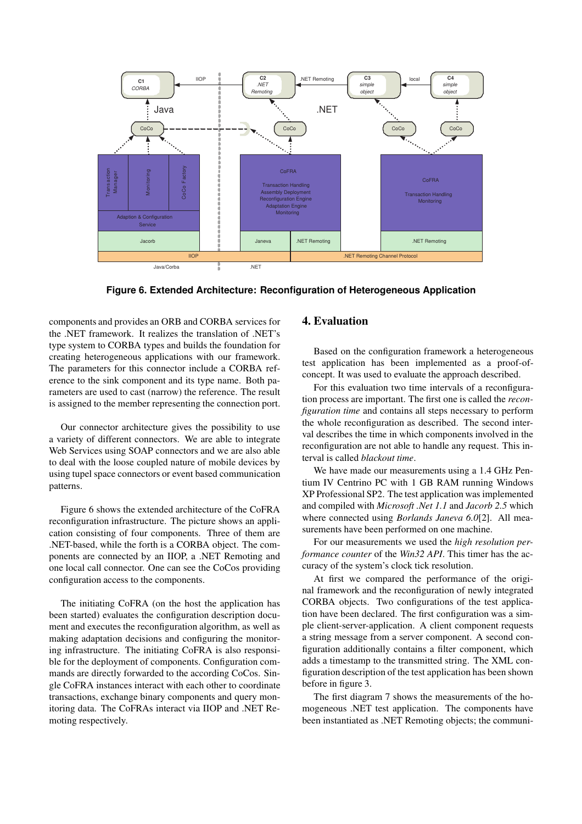

**Figure 6. Extended Architecture: Reconfiguration of Heterogeneous Application**

components and provides an ORB and CORBA services for the .NET framework. It realizes the translation of .NET's type system to CORBA types and builds the foundation for creating heterogeneous applications with our framework. The parameters for this connector include a CORBA reference to the sink component and its type name. Both parameters are used to cast (narrow) the reference. The result is assigned to the member representing the connection port.

Our connector architecture gives the possibility to use a variety of different connectors. We are able to integrate Web Services using SOAP connectors and we are also able to deal with the loose coupled nature of mobile devices by using tupel space connectors or event based communication patterns.

Figure 6 shows the extended architecture of the CoFRA reconfiguration infrastructure. The picture shows an application consisting of four components. Three of them are .NET-based, while the forth is a CORBA object. The components are connected by an IIOP, a .NET Remoting and one local call connector. One can see the CoCos providing configuration access to the components.

The initiating CoFRA (on the host the application has been started) evaluates the configuration description document and executes the reconfiguration algorithm, as well as making adaptation decisions and configuring the monitoring infrastructure. The initiating CoFRA is also responsible for the deployment of components. Configuration commands are directly forwarded to the according CoCos. Single CoFRA instances interact with each other to coordinate transactions, exchange binary components and query monitoring data. The CoFRAs interact via IIOP and .NET Remoting respectively.

# **4. Evaluation**

Based on the configuration framework a heterogeneous test application has been implemented as a proof-ofconcept. It was used to evaluate the approach described.

For this evaluation two time intervals of a reconfiguration process are important. The first one is called the *reconfiguration time* and contains all steps necessary to perform the whole reconfiguration as described. The second interval describes the time in which components involved in the reconfiguration are not able to handle any request. This interval is called *blackout time*.

We have made our measurements using a 1.4 GHz Pentium IV Centrino PC with 1 GB RAM running Windows XP Professional SP2. The test application was implemented and compiled with *Microsoft .Net 1.1* and *Jacorb 2.5* which where connected using *Borlands Janeva 6.0*[2]. All measurements have been performed on one machine.

For our measurements we used the *high resolution performance counter* of the *Win32 API*. This timer has the accuracy of the system's clock tick resolution.

At first we compared the performance of the original framework and the reconfiguration of newly integrated CORBA objects. Two configurations of the test application have been declared. The first configuration was a simple client-server-application. A client component requests a string message from a server component. A second configuration additionally contains a filter component, which adds a timestamp to the transmitted string. The XML configuration description of the test application has been shown before in figure 3.

The first diagram 7 shows the measurements of the homogeneous .NET test application. The components have been instantiated as .NET Remoting objects; the communi-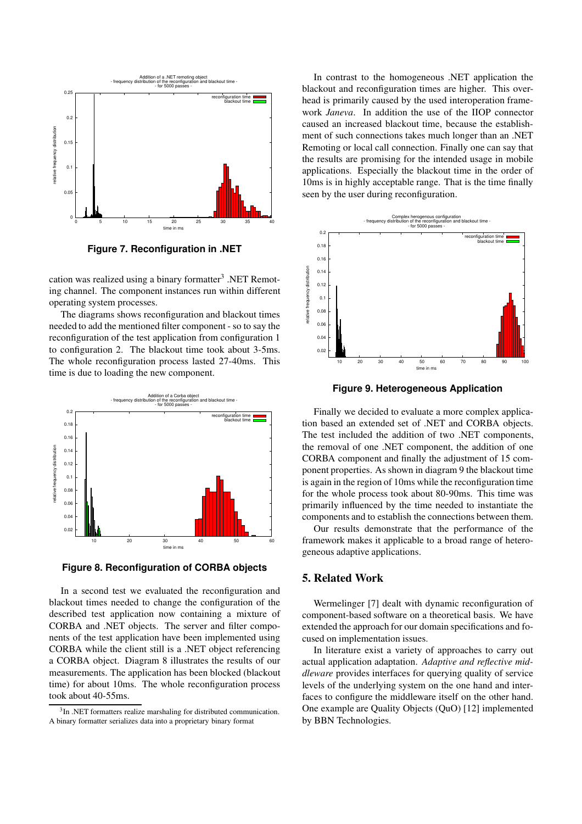

**Figure 7. Reconfiguration in .NET**

cation was realized using a binary formatter $3$ . NET Remoting channel. The component instances run within different operating system processes.

The diagrams shows reconfiguration and blackout times needed to add the mentioned filter component - so to say the reconfiguration of the test application from configuration 1 to configuration 2. The blackout time took about 3-5ms. The whole reconfiguration process lasted 27-40ms. This time is due to loading the new component.



**Figure 8. Reconfiguration of CORBA objects**

In a second test we evaluated the reconfiguration and blackout times needed to change the configuration of the described test application now containing a mixture of CORBA and .NET objects. The server and filter components of the test application have been implemented using CORBA while the client still is a .NET object referencing a CORBA object. Diagram 8 illustrates the results of our measurements. The application has been blocked (blackout time) for about 10ms. The whole reconfiguration process took about 40-55ms.

In contrast to the homogeneous .NET application the blackout and reconfiguration times are higher. This overhead is primarily caused by the used interoperation framework *Janeva*. In addition the use of the IIOP connector caused an increased blackout time, because the establishment of such connections takes much longer than an .NET Remoting or local call connection. Finally one can say that the results are promising for the intended usage in mobile applications. Especially the blackout time in the order of 10ms is in highly acceptable range. That is the time finally seen by the user during reconfiguration.



**Figure 9. Heterogeneous Application**

Finally we decided to evaluate a more complex application based an extended set of .NET and CORBA objects. The test included the addition of two .NET components, the removal of one .NET component, the addition of one CORBA component and finally the adjustment of 15 component properties. As shown in diagram 9 the blackout time is again in the region of 10ms while the reconfiguration time for the whole process took about 80-90ms. This time was primarily influenced by the time needed to instantiate the components and to establish the connections between them.

Our results demonstrate that the performance of the framework makes it applicable to a broad range of heterogeneous adaptive applications.

# **5. Related Work**

Wermelinger [7] dealt with dynamic reconfiguration of component-based software on a theoretical basis. We have extended the approach for our domain specifications and focused on implementation issues.

In literature exist a variety of approaches to carry out actual application adaptation. *Adaptive and reflective middleware* provides interfaces for querying quality of service levels of the underlying system on the one hand and interfaces to configure the middleware itself on the other hand. One example are Quality Objects (QuO) [12] implemented by BBN Technologies.

<sup>&</sup>lt;sup>3</sup>In .NET formatters realize marshaling for distributed communication. A binary formatter serializes data into a proprietary binary format